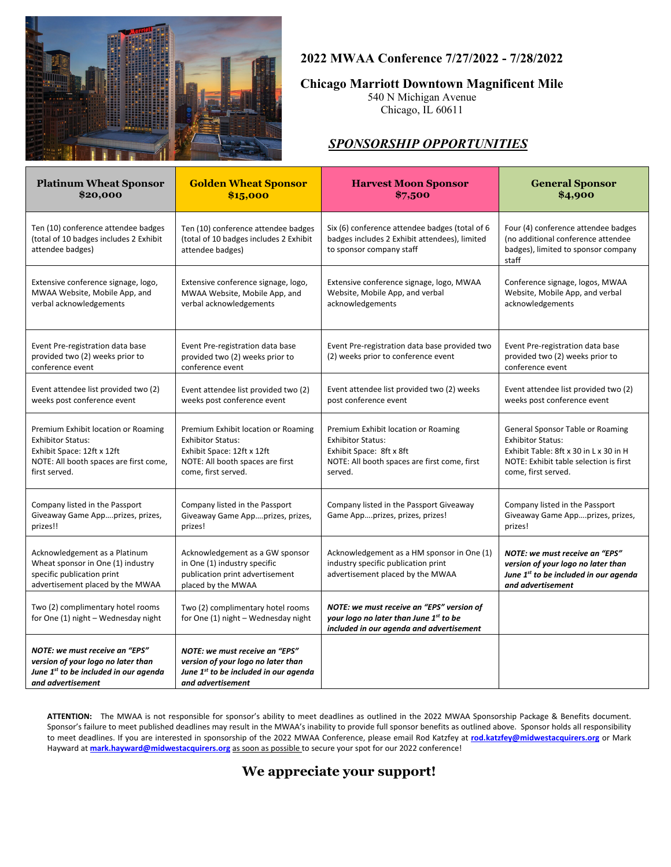

### **2022 MWAA Conference 7/27/2022 - 7/28/2022**

#### **Chicago Marriott Downtown Magnificent Mile**

540 N Michigan Avenue Chicago, IL 60611

## *SPONSORSHIP OPPORTUNITIES*

| <b>Platinum Wheat Sponsor</b><br>\$20,000                                                                                                                | <b>Golden Wheat Sponsor</b><br>\$15,000                                                                                                                  | <b>Harvest Moon Sponsor</b><br>\$7,500                                                                                                                 | <b>General Sponsor</b><br>\$4,900                                                                                                                                       |
|----------------------------------------------------------------------------------------------------------------------------------------------------------|----------------------------------------------------------------------------------------------------------------------------------------------------------|--------------------------------------------------------------------------------------------------------------------------------------------------------|-------------------------------------------------------------------------------------------------------------------------------------------------------------------------|
| Ten (10) conference attendee badges<br>(total of 10 badges includes 2 Exhibit<br>attendee badges)                                                        | Ten (10) conference attendee badges<br>(total of 10 badges includes 2 Exhibit<br>attendee badges)                                                        | Six (6) conference attendee badges (total of 6<br>badges includes 2 Exhibit attendees), limited<br>to sponsor company staff                            | Four (4) conference attendee badges<br>(no additional conference attendee<br>badges), limited to sponsor company<br>staff                                               |
| Extensive conference signage, logo,<br>MWAA Website, Mobile App, and<br>verbal acknowledgements                                                          | Extensive conference signage, logo,<br>MWAA Website, Mobile App, and<br>verbal acknowledgements                                                          | Extensive conference signage, logo, MWAA<br>Website, Mobile App, and verbal<br>acknowledgements                                                        | Conference signage, logos, MWAA<br>Website, Mobile App, and verbal<br>acknowledgements                                                                                  |
| Event Pre-registration data base<br>provided two (2) weeks prior to<br>conference event                                                                  | Event Pre-registration data base<br>provided two (2) weeks prior to<br>conference event                                                                  | Event Pre-registration data base provided two<br>(2) weeks prior to conference event                                                                   | Event Pre-registration data base<br>provided two (2) weeks prior to<br>conference event                                                                                 |
| Event attendee list provided two (2)<br>weeks post conference event                                                                                      | Event attendee list provided two (2)<br>weeks post conference event                                                                                      | Event attendee list provided two (2) weeks<br>post conference event                                                                                    | Event attendee list provided two (2)<br>weeks post conference event                                                                                                     |
| Premium Exhibit location or Roaming<br><b>Exhibitor Status:</b><br>Exhibit Space: 12ft x 12ft<br>NOTE: All booth spaces are first come,<br>first served. | Premium Exhibit location or Roaming<br><b>Exhibitor Status:</b><br>Exhibit Space: 12ft x 12ft<br>NOTE: All booth spaces are first<br>come, first served. | Premium Exhibit location or Roaming<br><b>Exhibitor Status:</b><br>Exhibit Space: 8ft x 8ft<br>NOTE: All booth spaces are first come, first<br>served. | General Sponsor Table or Roaming<br><b>Exhibitor Status:</b><br>Exhibit Table: 8ft x 30 in L x 30 in H<br>NOTE: Exhibit table selection is first<br>come, first served. |
| Company listed in the Passport<br>Giveaway Game Appprizes, prizes,<br>prizes!!                                                                           | Company listed in the Passport<br>Giveaway Game Appprizes, prizes,<br>prizes!                                                                            | Company listed in the Passport Giveaway<br>Game Appprizes, prizes, prizes!                                                                             | Company listed in the Passport<br>Giveaway Game Appprizes, prizes,<br>prizes!                                                                                           |
| Acknowledgement as a Platinum<br>Wheat sponsor in One (1) industry<br>specific publication print<br>advertisement placed by the MWAA                     | Acknowledgement as a GW sponsor<br>in One (1) industry specific<br>publication print advertisement<br>placed by the MWAA                                 | Acknowledgement as a HM sponsor in One (1)<br>industry specific publication print<br>advertisement placed by the MWAA                                  | NOTE: we must receive an "EPS"<br>version of your logo no later than<br>June 1st to be included in our agenda<br>and advertisement                                      |
| Two (2) complimentary hotel rooms<br>for One (1) night - Wednesday night                                                                                 | Two (2) complimentary hotel rooms<br>for One (1) night - Wednesday night                                                                                 | NOTE: we must receive an "EPS" version of<br>your logo no later than June 1st to be<br>included in our agenda and advertisement                        |                                                                                                                                                                         |
| NOTE: we must receive an "EPS"<br>version of your logo no later than<br>June 1 <sup>st</sup> to be included in our agenda<br>and advertisement           | NOTE: we must receive an "EPS"<br>version of your logo no later than<br>June 1 <sup>st</sup> to be included in our agenda<br>and advertisement           |                                                                                                                                                        |                                                                                                                                                                         |

**ATTENTION:** The MWAA is not responsible for sponsor's ability to meet deadlines as outlined in the 2022 MWAA Sponsorship Package & Benefits document. Sponsor's failure to meet published deadlines may result in the MWAA's inability to provide full sponsor benefits as outlined above. Sponsor holds all responsibility to meet deadlines. If you are interested in sponsorship of the 2022 MWAA Conference, please email Rod Katzfey at **[rod.katzfey@midwestacquirers.org](mailto:rod.katzfey@midwestacquirers.org)** or Mark Hayward at **[mark.hayward@midwestacquirers.org](mailto:mark.hayward@midwestacquirers.org)** as soon as possible to secure your spot for our 2022 conference!

# **We appreciate your support!**